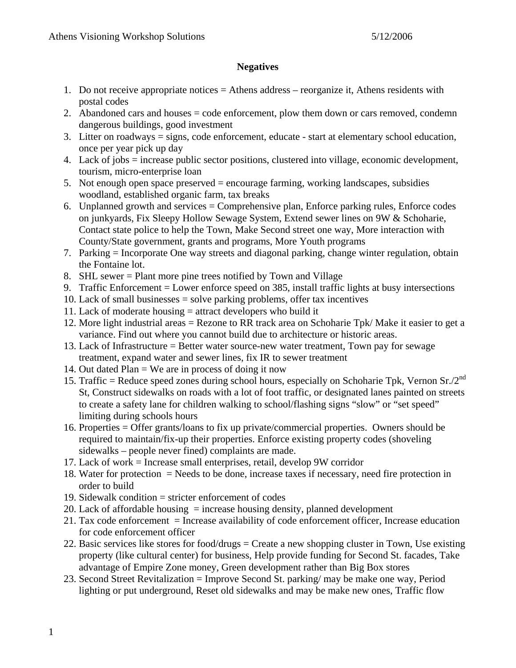## **Negatives**

- 1. Do not receive appropriate notices = Athens address reorganize it, Athens residents with postal codes
- 2. Abandoned cars and houses = code enforcement, plow them down or cars removed, condemn dangerous buildings, good investment
- 3. Litter on roadways = signs, code enforcement, educate start at elementary school education, once per year pick up day
- 4. Lack of jobs = increase public sector positions, clustered into village, economic development, tourism, micro-enterprise loan
- 5. Not enough open space preserved = encourage farming, working landscapes, subsidies woodland, established organic farm, tax breaks
- 6. Unplanned growth and services = Comprehensive plan, Enforce parking rules, Enforce codes on junkyards, Fix Sleepy Hollow Sewage System, Extend sewer lines on 9W & Schoharie, Contact state police to help the Town, Make Second street one way, More interaction with County/State government, grants and programs, More Youth programs
- 7. Parking = Incorporate One way streets and diagonal parking, change winter regulation, obtain the Fontaine lot.
- 8. SHL sewer = Plant more pine trees notified by Town and Village
- 9. Traffic Enforcement = Lower enforce speed on 385, install traffic lights at busy intersections
- 10. Lack of small businesses = solve parking problems, offer tax incentives
- 11. Lack of moderate housing = attract developers who build it
- 12. More light industrial areas = Rezone to RR track area on Schoharie Tpk/ Make it easier to get a variance. Find out where you cannot build due to architecture or historic areas.
- 13. Lack of Infrastructure = Better water source-new water treatment, Town pay for sewage treatment, expand water and sewer lines, fix IR to sewer treatment
- 14. Out dated  $Plan = We$  are in process of doing it now
- 15. Traffic = Reduce speed zones during school hours, especially on Schoharie Tpk, Vernon Sr./2<sup>nd</sup> St, Construct sidewalks on roads with a lot of foot traffic, or designated lanes painted on streets to create a safety lane for children walking to school/flashing signs "slow" or "set speed" limiting during schools hours
- 16. Properties = Offer grants/loans to fix up private/commercial properties. Owners should be required to maintain/fix-up their properties. Enforce existing property codes (shoveling sidewalks – people never fined) complaints are made.
- 17. Lack of work = Increase small enterprises, retail, develop 9W corridor
- 18. Water for protection = Needs to be done, increase taxes if necessary, need fire protection in order to build
- 19. Sidewalk condition  $=$  stricter enforcement of codes
- 20. Lack of affordable housing  $=$  increase housing density, planned development
- 21. Tax code enforcement = Increase availability of code enforcement officer, Increase education for code enforcement officer
- 22. Basic services like stores for food/drugs = Create a new shopping cluster in Town, Use existing property (like cultural center) for business, Help provide funding for Second St. facades, Take advantage of Empire Zone money, Green development rather than Big Box stores
- 23. Second Street Revitalization = Improve Second St. parking/ may be make one way, Period lighting or put underground, Reset old sidewalks and may be make new ones, Traffic flow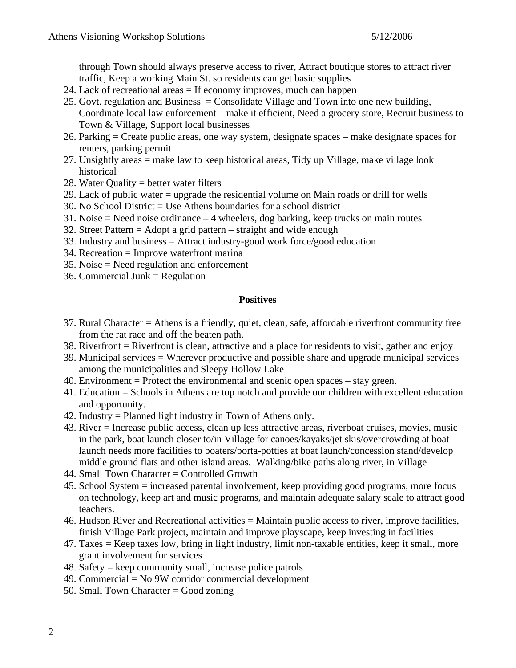through Town should always preserve access to river, Attract boutique stores to attract river traffic, Keep a working Main St. so residents can get basic supplies

- 24. Lack of recreational areas = If economy improves, much can happen
- 25. Govt. regulation and Business = Consolidate Village and Town into one new building, Coordinate local law enforcement – make it efficient, Need a grocery store, Recruit business to Town & Village, Support local businesses
- 26. Parking = Create public areas, one way system, designate spaces make designate spaces for renters, parking permit
- 27. Unsightly areas = make law to keep historical areas, Tidy up Village, make village look historical
- 28. Water Quality = better water filters
- 29. Lack of public water = upgrade the residential volume on Main roads or drill for wells
- 30. No School District = Use Athens boundaries for a school district
- 31. Noise = Need noise ordinance 4 wheelers, dog barking, keep trucks on main routes
- 32. Street Pattern = Adopt a grid pattern straight and wide enough
- 33. Industry and business = Attract industry-good work force/good education
- 34. Recreation = Improve waterfront marina
- 35. Noise = Need regulation and enforcement
- 36. Commercial Junk = Regulation

## **Positives**

- 37. Rural Character = Athens is a friendly, quiet, clean, safe, affordable riverfront community free from the rat race and off the beaten path.
- 38. Riverfront = Riverfront is clean, attractive and a place for residents to visit, gather and enjoy
- 39. Municipal services = Wherever productive and possible share and upgrade municipal services among the municipalities and Sleepy Hollow Lake
- 40. Environment = Protect the environmental and scenic open spaces stay green.
- 41. Education = Schools in Athens are top notch and provide our children with excellent education and opportunity.
- 42. Industry = Planned light industry in Town of Athens only.
- 43. River = Increase public access, clean up less attractive areas, riverboat cruises, movies, music in the park, boat launch closer to/in Village for canoes/kayaks/jet skis/overcrowding at boat launch needs more facilities to boaters/porta-potties at boat launch/concession stand/develop middle ground flats and other island areas. Walking/bike paths along river, in Village
- 44. Small Town Character = Controlled Growth
- 45. School System = increased parental involvement, keep providing good programs, more focus on technology, keep art and music programs, and maintain adequate salary scale to attract good teachers.
- 46. Hudson River and Recreational activities = Maintain public access to river, improve facilities, finish Village Park project, maintain and improve playscape, keep investing in facilities
- 47. Taxes = Keep taxes low, bring in light industry, limit non-taxable entities, keep it small, more grant involvement for services
- 48. Safety = keep community small, increase police patrols
- 49. Commercial = No 9W corridor commercial development
- 50. Small Town Character = Good zoning